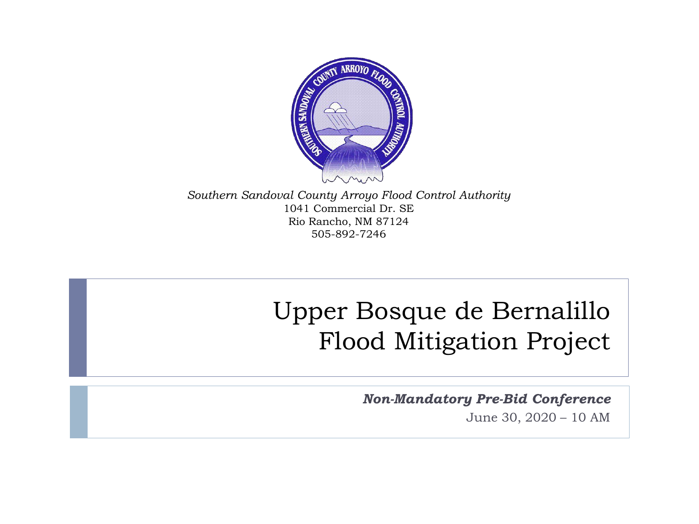

*Southern Sandoval County Arroyo Flood Control Authority* 1041 Commercial Dr. SE Rio Rancho, NM 87124 505-892-7246

### Upper Bosque de Bernalillo Flood Mitigation Project

*Non-Mandatory Pre-Bid Conference*

June 30, 2020 – 10 AM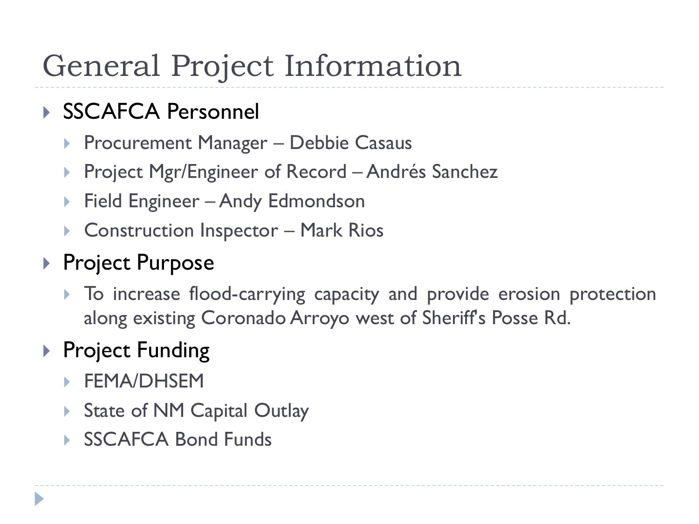# General Project Information

#### ▶ SSCAFCA Personnel

- ▶ Procurement Manager Debbie Casaus
- Project Mgr/Engineer of Record Andrés Sanchez
- ▶ Field Engineer Andy Edmondson
- ▶ Construction Inspector Mark Rios

#### ▶ Project Purpose

 To increase flood-carrying capacity and provide erosion protection along existing Coronado Arroyo west of Sheriff's Posse Rd.

### ▶ Project Funding

- **FEMA/DHSEM**
- State of NM Capital Outlay
- SSCAFCA Bond Funds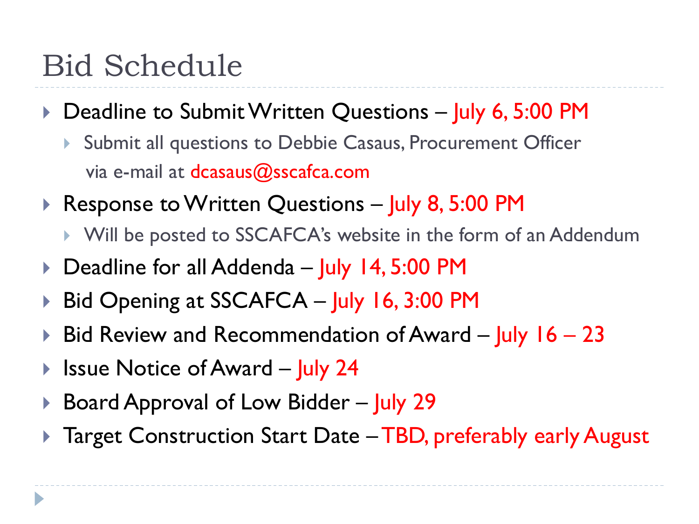### Bid Schedule

- ▶ Deadline to Submit Written Questions July 6, 5:00 PM
	- Submit all questions to Debbie Casaus, Procurement Officer via e-mail at dcasaus@sscafca.com
- ▶ Response to Written Questions July 8, 5:00 PM
	- ▶ Will be posted to SSCAFCA's website in the form of an Addendum
- ▶ Deadline for all Addenda July 14, 5:00 PM
- ▶ Bid Opening at SSCAFCA July 16, 3:00 PM
- Bid Review and Recommendation of Award July  $16 23$
- ▶ Issue Notice of Award July 24
- ▶ Board Approval of Low Bidder July 29
- ▶ Target Construction Start Date TBD, preferably early August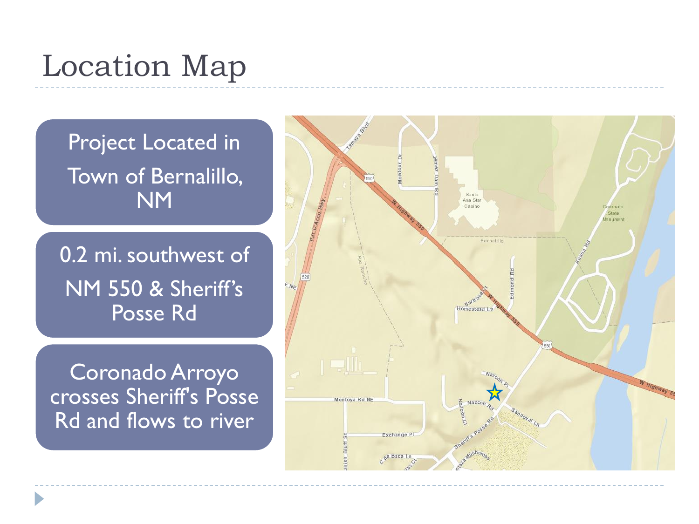# Location Map

Project Located in Town of Bernalillo, NM Santa Ang Star Casing oronado **Jonumen** Bernalillo 0.2 mi. southwest of NM 550 & Sheriff's Bar<sup>w</sup><br>Homestead Ly Posse Rd Coronado Arroyo crosses Sheriff's Posse Montoya Rd NE Rd and flows to riverExchange PI de Baca Ln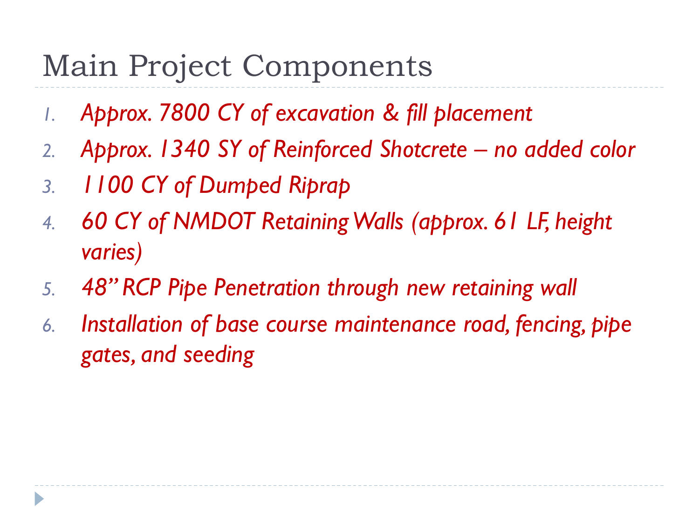### Main Project Components

- *1. Approx. 7800 CY of excavation & fill placement*
- *2. Approx. 1340 SY of Reinforced Shotcrete – no added color*
- *3. 1100 CY of Dumped Riprap*
- *4. 60 CY of NMDOT Retaining Walls (approx. 61 LF, height varies)*
- *5. 48" RCP Pipe Penetration through new retaining wall*
- *6. Installation of base course maintenance road, fencing, pipe gates, and seeding*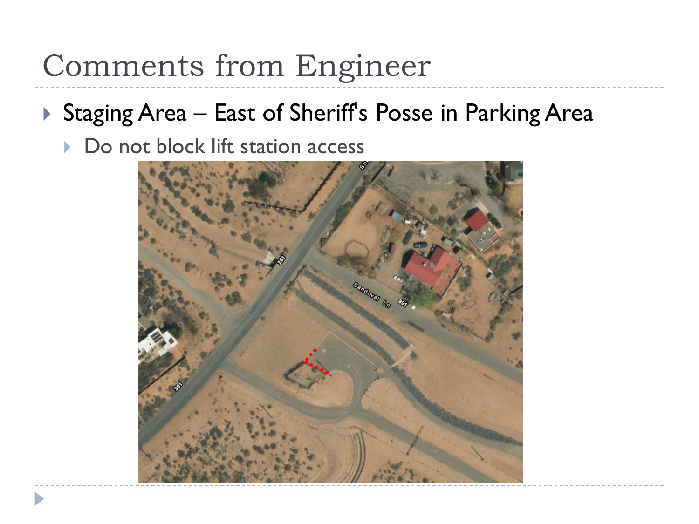### Comments from Engineer

### ▶ Staging Area – East of Sheriff's Posse in Parking Area

▶ Do not block lift station access

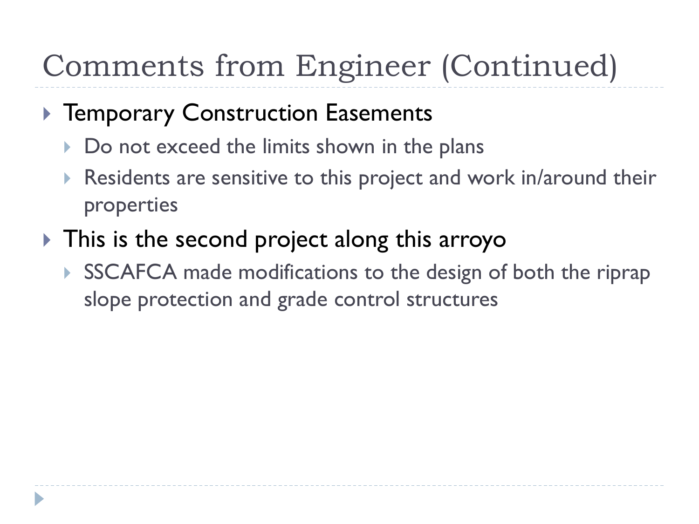# Comments from Engineer (Continued)

#### **F** Temporary Construction Easements

- Do not exceed the limits shown in the plans
- Residents are sensitive to this project and work in/around their properties

### In This is the second project along this arroyo

SSCAFCA made modifications to the design of both the riprap slope protection and grade control structures